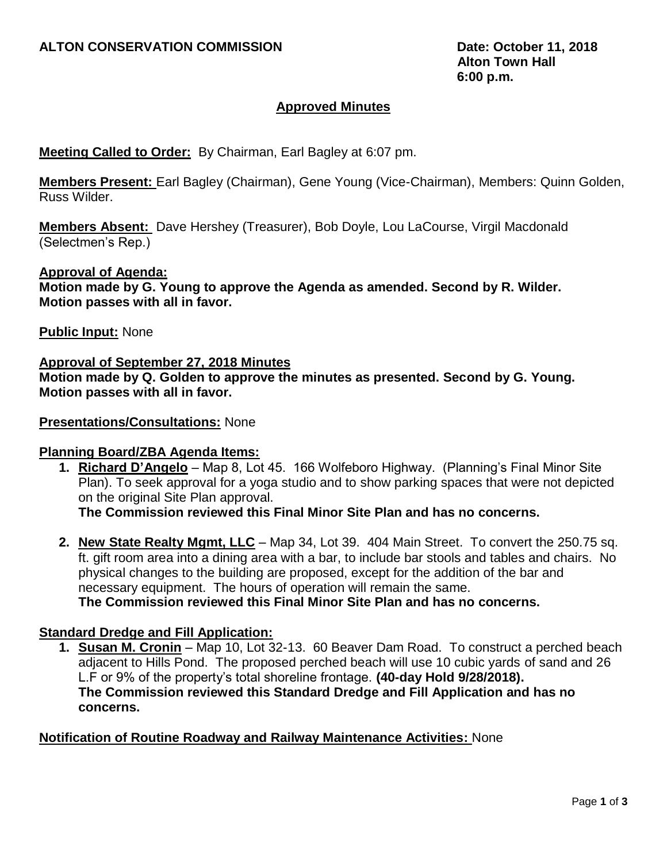## **Approved Minutes**

### **Meeting Called to Order:** By Chairman, Earl Bagley at 6:07 pm.

**Members Present:** Earl Bagley (Chairman), Gene Young (Vice-Chairman), Members: Quinn Golden, Russ Wilder.

**Members Absent:** Dave Hershey (Treasurer), Bob Doyle, Lou LaCourse, Virgil Macdonald (Selectmen's Rep.)

### **Approval of Agenda:**

**Motion made by G. Young to approve the Agenda as amended. Second by R. Wilder. Motion passes with all in favor.**

### **Public Input:** None

#### **Approval of September 27, 2018 Minutes**

**Motion made by Q. Golden to approve the minutes as presented. Second by G. Young. Motion passes with all in favor.**

#### **Presentations/Consultations:** None

### **Planning Board/ZBA Agenda Items:**

**1. Richard D'Angelo** – Map 8, Lot 45. 166 Wolfeboro Highway. (Planning's Final Minor Site Plan). To seek approval for a yoga studio and to show parking spaces that were not depicted on the original Site Plan approval.

**The Commission reviewed this Final Minor Site Plan and has no concerns.**

**2. New State Realty Mgmt, LLC** – Map 34, Lot 39. 404 Main Street. To convert the 250.75 sq. ft. gift room area into a dining area with a bar, to include bar stools and tables and chairs. No physical changes to the building are proposed, except for the addition of the bar and necessary equipment. The hours of operation will remain the same. **The Commission reviewed this Final Minor Site Plan and has no concerns.**

### **Standard Dredge and Fill Application:**

**1. Susan M. Cronin** – Map 10, Lot 32-13. 60 Beaver Dam Road. To construct a perched beach adjacent to Hills Pond. The proposed perched beach will use 10 cubic yards of sand and 26 L.F or 9% of the property's total shoreline frontage. **(40-day Hold 9/28/2018). The Commission reviewed this Standard Dredge and Fill Application and has no concerns.**

### **Notification of Routine Roadway and Railway Maintenance Activities:** None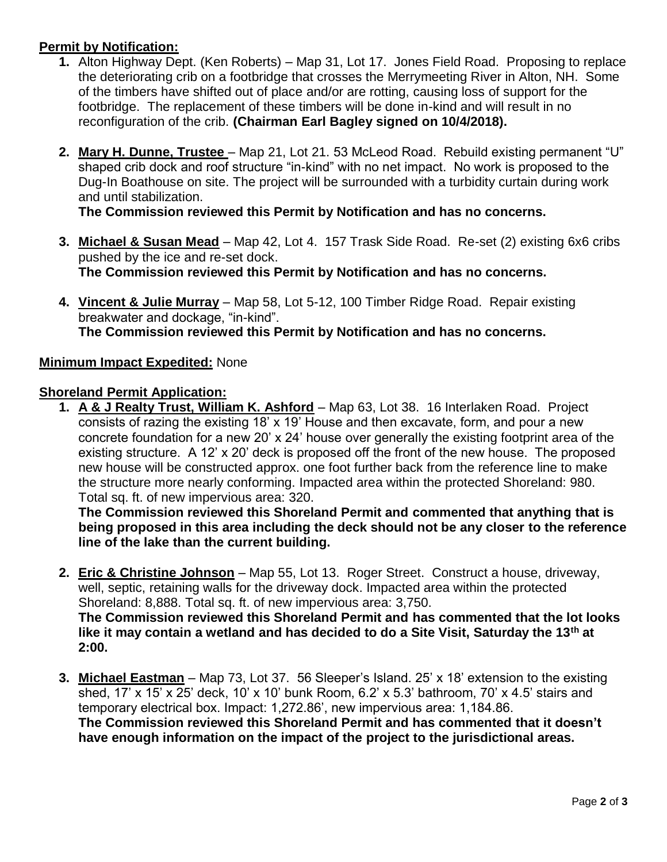# **Permit by Notification:**

- **1.** Alton Highway Dept. (Ken Roberts) Map 31, Lot 17. Jones Field Road. Proposing to replace the deteriorating crib on a footbridge that crosses the Merrymeeting River in Alton, NH. Some of the timbers have shifted out of place and/or are rotting, causing loss of support for the footbridge. The replacement of these timbers will be done in-kind and will result in no reconfiguration of the crib. **(Chairman Earl Bagley signed on 10/4/2018).**
- **2. Mary H. Dunne, Trustee**  Map 21, Lot 21. 53 McLeod Road. Rebuild existing permanent "U" shaped crib dock and roof structure "in-kind" with no net impact. No work is proposed to the Dug-In Boathouse on site. The project will be surrounded with a turbidity curtain during work and until stabilization.

**The Commission reviewed this Permit by Notification and has no concerns.**

- **3. Michael & Susan Mead** Map 42, Lot 4. 157 Trask Side Road. Re-set (2) existing 6x6 cribs pushed by the ice and re-set dock. **The Commission reviewed this Permit by Notification and has no concerns.**
- **4. Vincent & Julie Murray** Map 58, Lot 5-12, 100 Timber Ridge Road. Repair existing breakwater and dockage, "in-kind". **The Commission reviewed this Permit by Notification and has no concerns.**

## **Minimum Impact Expedited:** None

## **Shoreland Permit Application:**

**1. A & J Realty Trust, William K. Ashford** – Map 63, Lot 38. 16 Interlaken Road. Project consists of razing the existing 18' x 19' House and then excavate, form, and pour a new concrete foundation for a new 20' x 24' house over generally the existing footprint area of the existing structure. A 12' x 20' deck is proposed off the front of the new house. The proposed new house will be constructed approx. one foot further back from the reference line to make the structure more nearly conforming. Impacted area within the protected Shoreland: 980. Total sq. ft. of new impervious area: 320.

**The Commission reviewed this Shoreland Permit and commented that anything that is being proposed in this area including the deck should not be any closer to the reference line of the lake than the current building.**

- **2. Eric & Christine Johnson** Map 55, Lot 13. Roger Street. Construct a house, driveway, well, septic, retaining walls for the driveway dock. Impacted area within the protected Shoreland: 8,888. Total sq. ft. of new impervious area: 3,750. **The Commission reviewed this Shoreland Permit and has commented that the lot looks like it may contain a wetland and has decided to do a Site Visit, Saturday the 13th at 2:00.**
- **3. Michael Eastman** Map 73, Lot 37. 56 Sleeper's Island. 25' x 18' extension to the existing shed, 17' x 15' x 25' deck, 10' x 10' bunk Room, 6.2' x 5.3' bathroom, 70' x 4.5' stairs and temporary electrical box. Impact: 1,272.86', new impervious area: 1,184.86. **The Commission reviewed this Shoreland Permit and has commented that it doesn't have enough information on the impact of the project to the jurisdictional areas.**